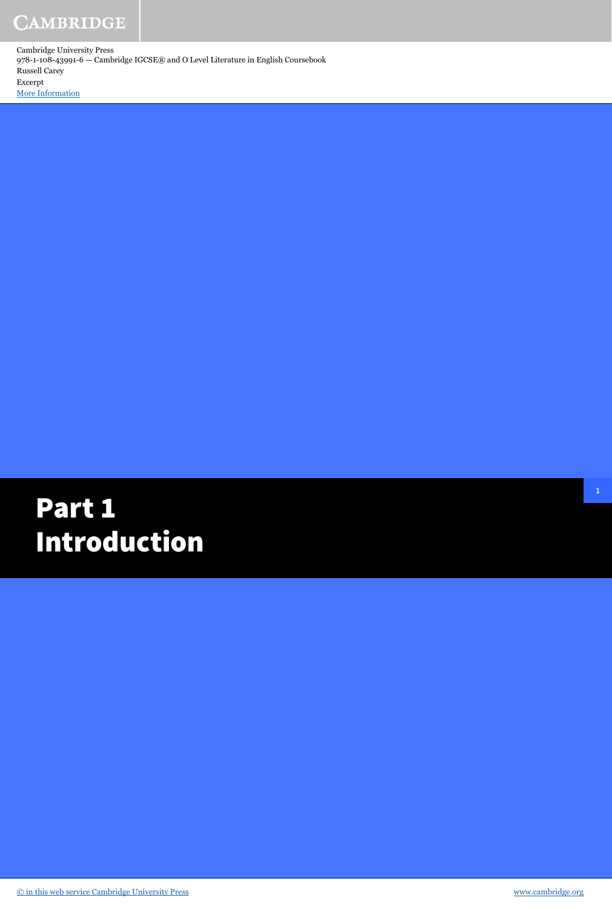# Part 1 Introduction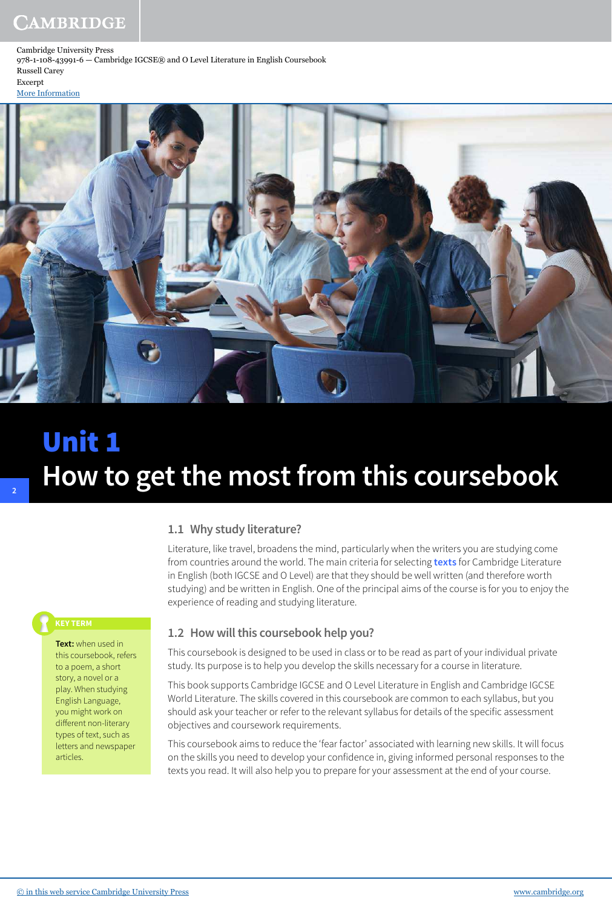[More Information](www.cambridge.org/9781108439916)



# Unit 1 **How to get the most from this coursebook**

### **1.1 Why study literature?**

Literature, like travel, broadens the mind, particularly when the writers you are studying come from countries around the world. The main criteria for selecting **texts** for Cambridge Literature in English (both IGCSE and O Level) are that they should be well written (and therefore worth studying) and be written in English. One of the principal aims of the course is for you to enjoy the experience of reading and studying literature.

**2**

**Text:** when used in this coursebook, refers to a poem, a short story, a novel or a play. When studying English Language, you might work on different non-literary types of text, such as letters and newspaper articles.

### **1.2 How will this coursebook help you?**

This coursebook is designed to be used in class or to be read as part of your individual private study. Its purpose is to help you develop the skills necessary for a course in literature.

This book supports Cambridge IGCSE and O Level Literature in English and Cambridge IGCSE World Literature. The skills covered in this coursebook are common to each syllabus, but you should ask your teacher or refer to the relevant syllabus for details of the specific assessment objectives and coursework requirements.

This coursebook aims to reduce the 'fear factor' associated with learning new skills. It will focus on the skills you need to develop your confidence in, giving informed personal responses to the texts you read. It will also help you to prepare for your assessment at the end of your course.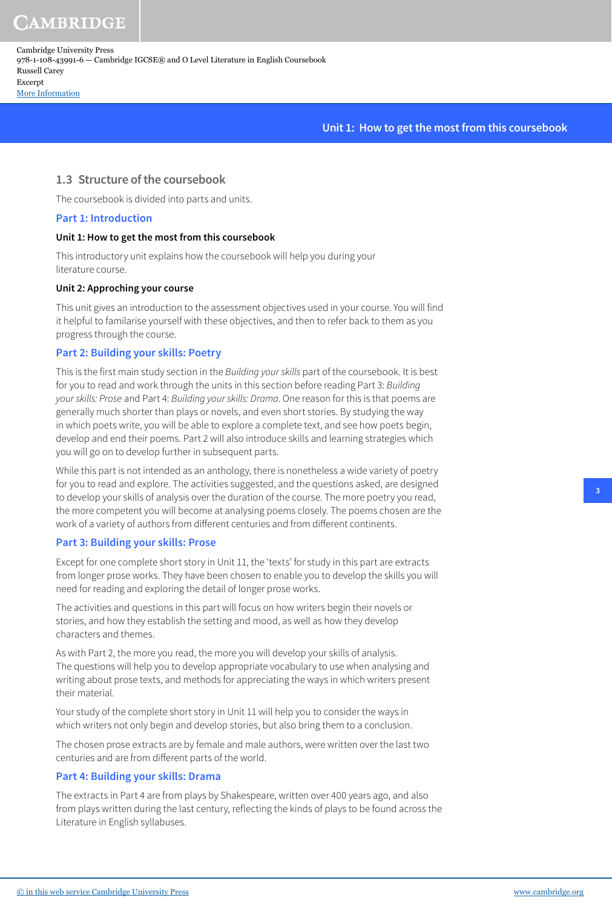**AMBRIDGE** 

Cambridge University Press 978-1-108-43991-6 — Cambridge IGCSE® and O Level Literature in English Coursebook Russell Carey Excerpt [More Information](www.cambridge.org/9781108439916)

**Unit 1: How to get the most from this coursebook**

#### **1.3 Structure of the coursebook**

The coursebook is divided into parts and units.

#### **Part 1: Introduction**

#### **Unit 1: How to get the most from this coursebook**

This introductory unit explains how the coursebook will help you during your literature course.

#### **Unit 2: Approching your course**

This unit gives an introduction to the assessment objectives used in your course. You will find it helpful to familarise yourself with these objectives, and then to refer back to them as you progress through the course.

#### **Part 2: Building your skills: Poetry**

This is the first main study section in the Building your skills part of the coursebook. It is best for you to read and work through the units in this section before reading Part 3: Building your skills: Prose and Part 4: Building your skills: Drama. One reason for this is that poems are generally much shorter than plays or novels, and even short stories. By studying the way in which poets write, you will be able to explore a complete text, and see how poets begin, develop and end their poems. Part 2 will also introduce skills and learning strategies which you will go on to develop further in subsequent parts.

While this part is not intended as an anthology, there is nonetheless a wide variety of poetry for you to read and explore. The activities suggested, and the questions asked, are designed to develop your skills of analysis over the duration of the course. The more poetry you read, the more competent you will become at analysing poems closely. The poems chosen are the work of a variety of authors from different centuries and from different continents.

#### **Part 3: Building your skills: Prose**

Except for one complete short story in Unit 11, the 'texts' for study in this part are extracts from longer prose works. They have been chosen to enable you to develop the skills you will need for reading and exploring the detail of longer prose works.

The activities and questions in this part will focus on how writers begin their novels or stories, and how they establish the setting and mood, as well as how they develop characters and themes.

As with Part 2, the more you read, the more you will develop your skills of analysis. The questions will help you to develop appropriate vocabulary to use when analysing and writing about prose texts, and methods for appreciating the ways in which writers present their material.

Your study of the complete short story in Unit 11 will help you to consider the ways in which writers not only begin and develop stories, but also bring them to a conclusion.

The chosen prose extracts are by female and male authors, were written over the last two centuries and are from different parts of the world.

#### **Part 4: Building your skills: Drama**

The extracts in Part 4 are from plays by Shakespeare, written over 400 years ago, and also from plays written during the last century, reflecting the kinds of plays to be found across the Literature in English syllabuses.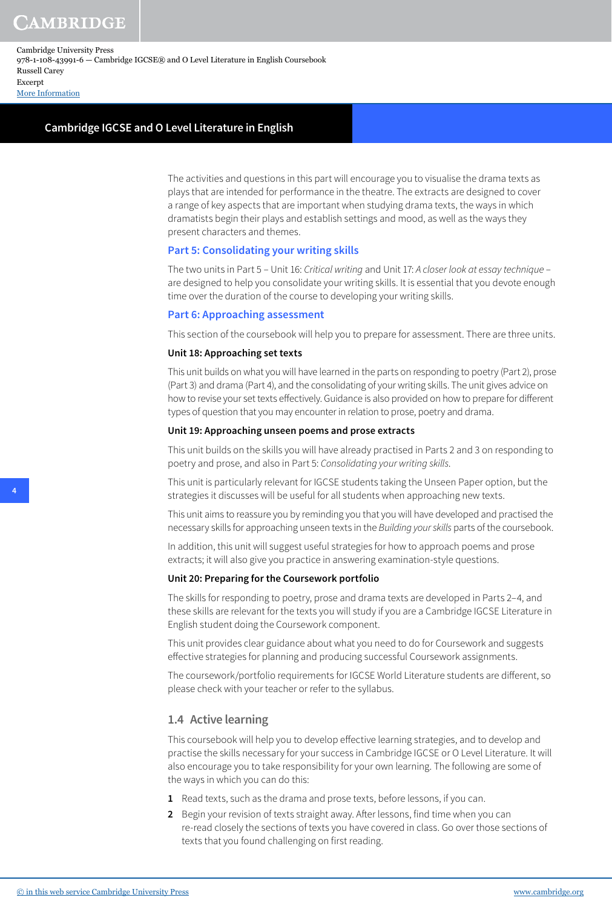#### **Cambridge IGCSE and O Level Literature in English**

The activities and questions in this part will encourage you to visualise the drama texts as plays that are intended for performance in the theatre. The extracts are designed to cover a range of key aspects that are important when studying drama texts, the ways in which dramatists begin their plays and establish settings and mood, as well as the ways they present characters and themes.

#### **Part 5: Consolidating your writing skills**

The two units in Part 5 – Unit 16: Critical writing and Unit 17: A closer look at essay technique – are designed to help you consolidate your writing skills. It is essential that you devote enough time over the duration of the course to developing your writing skills.

#### **Part 6: Approaching assessment**

This section of the coursebook will help you to prepare for assessment. There are three units.

#### **Unit 18: Approaching set texts**

This unit builds on what you will have learned in the parts on responding to poetry (Part 2), prose (Part 3) and drama (Part 4), and the consolidating of your writing skills. The unit gives advice on how to revise your set texts effectively. Guidance is also provided on how to prepare for different types of question that you may encounter in relation to prose, poetry and drama.

#### **Unit 19: Approaching unseen poems and prose extracts**

This unit builds on the skills you will have already practised in Parts 2 and 3 on responding to poetry and prose, and also in Part 5: Consolidating your writing skills.

This unit is particularly relevant for IGCSE students taking the Unseen Paper option, but the strategies it discusses will be useful for all students when approaching new texts.

This unit aims to reassure you by reminding you that you will have developed and practised the necessary skills for approaching unseen texts in the Building your skills parts of the coursebook.

In addition, this unit will suggest useful strategies for how to approach poems and prose extracts; it will also give you practice in answering examination-style questions.

#### **Unit 20: Preparing for the Coursework portfolio**

The skills for responding to poetry, prose and drama texts are developed in Parts 2–4, and these skills are relevant for the texts you will study if you are a Cambridge IGCSE Literature in English student doing the Coursework component.

This unit provides clear guidance about what you need to do for Coursework and suggests effective strategies for planning and producing successful Coursework assignments.

The coursework/portfolio requirements for IGCSE World Literature students are different, so please check with your teacher or refer to the syllabus.

#### **1.4 Active learning**

This coursebook will help you to develop effective learning strategies, and to develop and practise the skills necessary for your success in Cambridge IGCSE or O Level Literature. It will also encourage you to take responsibility for your own learning. The following are some of the ways in which you can do this:

- **1** Read texts, such as the drama and prose texts, before lessons, if you can.
- **2** Begin your revision of texts straight away. After lessons, find time when you can re-read closely the sections of texts you have covered in class. Go over those sections of texts that you found challenging on first reading.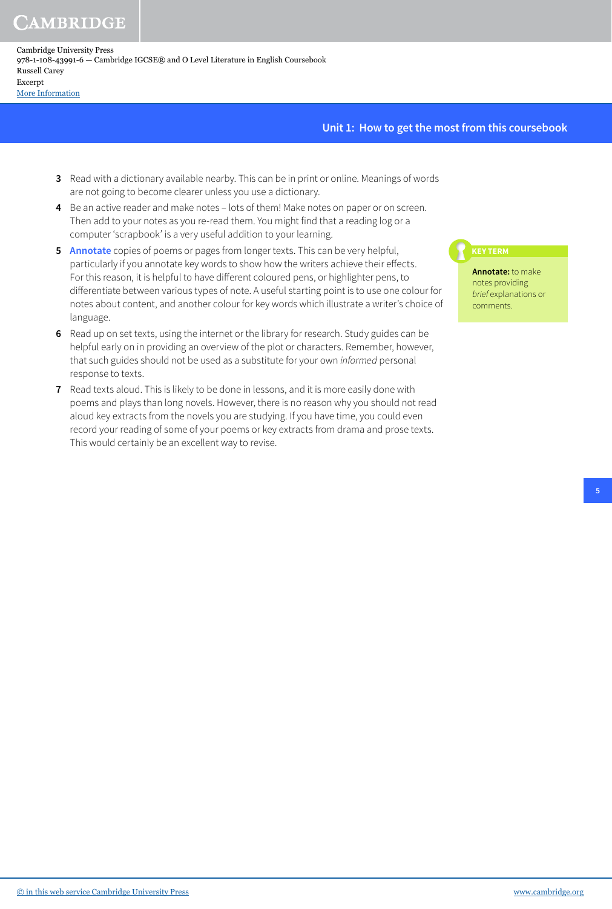CAMBRIDGE

#### **Unit 1: How to get the most from this coursebook**

- **3** Read with a dictionary available nearby. This can be in print or online. Meanings of words are not going to become clearer unless you use a dictionary.
- **4** Be an active reader and make notes lots of them! Make notes on paper or on screen. Then add to your notes as you re-read them. You might find that a reading log or a computer 'scrapbook' is a very useful addition to your learning.
- **5 Annotate** copies of poems or pages from longer texts. This can be very helpful, particularly if you annotate key words to show how the writers achieve their effects. For this reason, it is helpful to have different coloured pens, or highlighter pens, to differentiate between various types of note. A useful starting point is to use one colour for notes about content, and another colour for key words which illustrate a writer's choice of language.
- **6** Read up on set texts, using the internet or the library for research. Study guides can be helpful early on in providing an overview of the plot or characters. Remember, however, that such guides should not be used as a substitute for your own *informed* personal response to texts.
- **7** Read texts aloud. This is likely to be done in lessons, and it is more easily done with poems and plays than long novels. However, there is no reason why you should not read aloud key extracts from the novels you are studying. If you have time, you could even record your reading of some of your poems or key extracts from drama and prose texts. This would certainly be an excellent way to revise.

**Annotate:** to make notes providing brief explanations or comments.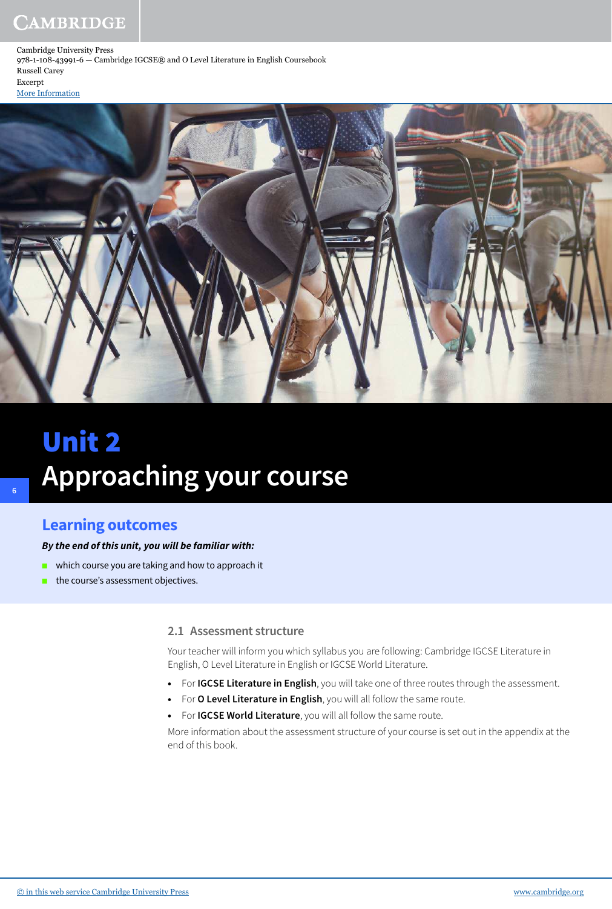# CAMBRIDGE

Cambridge University Press 978-1-108-43991-6 — Cambridge IGCSE® and O Level Literature in English Coursebook Russell Carey Excerpt



# Unit 2 **Approaching your course**

# **Learning outcomes**

**6**

#### **By the end of this unit, you will be familiar with:**

- which course you are taking and how to approach it
- the course's assessment objectives.

#### **2.1 Assessment structure**

Your teacher will inform you which syllabus you are following: Cambridge IGCSE Literature in English, O Level Literature in English or IGCSE World Literature.

- **•** For **IGCSE Literature in English**, you will take one of three routes through the assessment.
- **•** For **O Level Literature in English**, you will all follow the same route.
	- **•** For **IGCSE World Literature**, you will all follow the same route.

More information about the assessment structure of your course is set out in the appendix at the end of this book.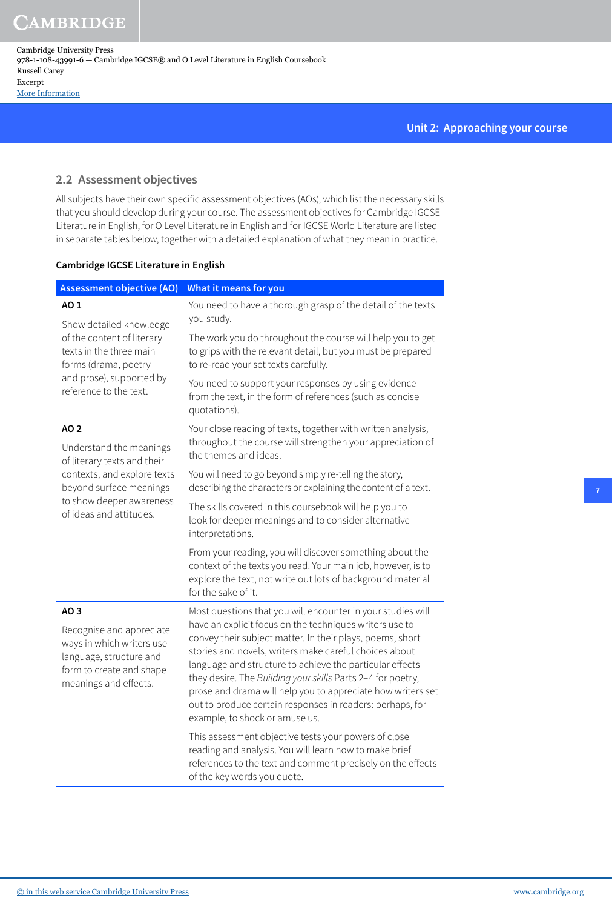CAMBRIDGE

Cambridge University Press 978-1-108-43991-6 — Cambridge IGCSE® and O Level Literature in English Coursebook Russell Carey Excerpt [More Information](www.cambridge.org/9781108439916)

#### **Unit 2: Approaching your course**

### **2.2 Assessment objectives**

All subjects have their own specific assessment objectives (AOs), which list the necessary skills that you should develop during your course. The assessment objectives for Cambridge IGCSE Literature in English, for O Level Literature in English and for IGCSE World Literature are listed in separate tables below, together with a detailed explanation of what they mean in practice.

#### **Cambridge IGCSE Literature in English**

| <b>Assessment objective (AO)</b>                                                                                                                                                      | What it means for you                                                                                                                                                                                                                                                                                                                                                                                                                                                                                                                  |
|---------------------------------------------------------------------------------------------------------------------------------------------------------------------------------------|----------------------------------------------------------------------------------------------------------------------------------------------------------------------------------------------------------------------------------------------------------------------------------------------------------------------------------------------------------------------------------------------------------------------------------------------------------------------------------------------------------------------------------------|
| AO 1<br>Show detailed knowledge<br>of the content of literary<br>texts in the three main<br>forms (drama, poetry<br>and prose), supported by<br>reference to the text.                | You need to have a thorough grasp of the detail of the texts<br>you study.                                                                                                                                                                                                                                                                                                                                                                                                                                                             |
|                                                                                                                                                                                       | The work you do throughout the course will help you to get<br>to grips with the relevant detail, but you must be prepared<br>to re-read your set texts carefully.                                                                                                                                                                                                                                                                                                                                                                      |
|                                                                                                                                                                                       | You need to support your responses by using evidence<br>from the text, in the form of references (such as concise<br>quotations).                                                                                                                                                                                                                                                                                                                                                                                                      |
| <b>AO2</b><br>Understand the meanings<br>of literary texts and their<br>contexts, and explore texts<br>beyond surface meanings<br>to show deeper awareness<br>of ideas and attitudes. | Your close reading of texts, together with written analysis,<br>throughout the course will strengthen your appreciation of<br>the themes and ideas.                                                                                                                                                                                                                                                                                                                                                                                    |
|                                                                                                                                                                                       | You will need to go beyond simply re-telling the story,<br>describing the characters or explaining the content of a text.                                                                                                                                                                                                                                                                                                                                                                                                              |
|                                                                                                                                                                                       | The skills covered in this coursebook will help you to<br>look for deeper meanings and to consider alternative<br>interpretations.                                                                                                                                                                                                                                                                                                                                                                                                     |
|                                                                                                                                                                                       | From your reading, you will discover something about the<br>context of the texts you read. Your main job, however, is to<br>explore the text, not write out lots of background material<br>for the sake of it.                                                                                                                                                                                                                                                                                                                         |
| AO 3<br>Recognise and appreciate<br>ways in which writers use<br>language, structure and<br>form to create and shape<br>meanings and effects.                                         | Most questions that you will encounter in your studies will<br>have an explicit focus on the techniques writers use to<br>convey their subject matter. In their plays, poems, short<br>stories and novels, writers make careful choices about<br>language and structure to achieve the particular effects<br>they desire. The Building your skills Parts 2-4 for poetry,<br>prose and drama will help you to appreciate how writers set<br>out to produce certain responses in readers: perhaps, for<br>example, to shock or amuse us. |
|                                                                                                                                                                                       | This assessment objective tests your powers of close<br>reading and analysis. You will learn how to make brief<br>references to the text and comment precisely on the effects<br>of the key words you quote.                                                                                                                                                                                                                                                                                                                           |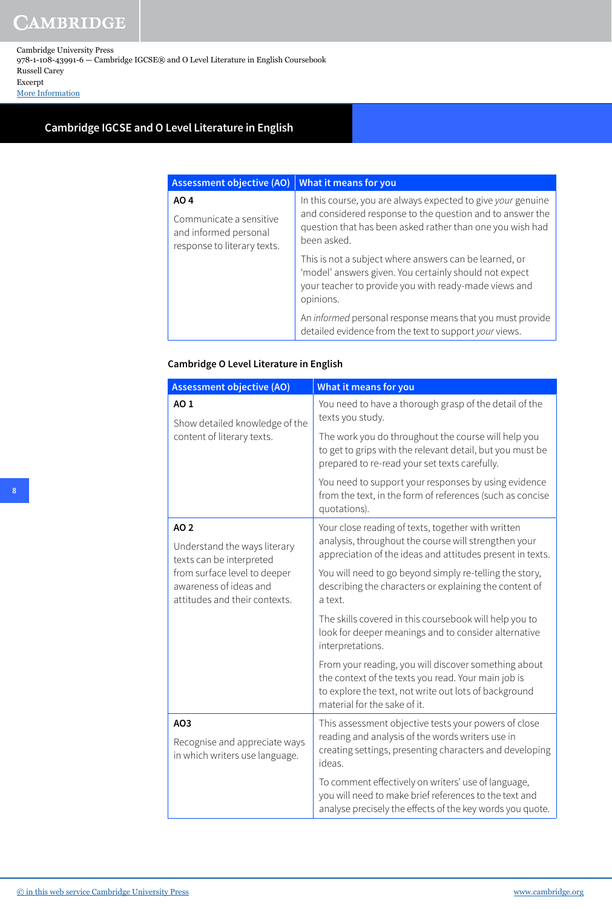## **Cambridge IGCSE and O Level Literature in English**

| <b>Assessment objective (AO)</b>                                                        | What it means for you                                                                                                                                                                                 |
|-----------------------------------------------------------------------------------------|-------------------------------------------------------------------------------------------------------------------------------------------------------------------------------------------------------|
| AO 4<br>Communicate a sensitive<br>and informed personal<br>response to literary texts. | In this course, you are always expected to give your genuine<br>and considered response to the question and to answer the<br>question that has been asked rather than one you wish had<br>been asked. |
|                                                                                         | This is not a subject where answers can be learned, or<br>'model' answers given. You certainly should not expect<br>your teacher to provide you with ready-made views and<br>opinions.                |
|                                                                                         | An informed personal response means that you must provide<br>detailed evidence from the text to support your views.                                                                                   |

#### **Cambridge O Level Literature in English**

| <b>Assessment objective (AO)</b>                                                        | What it means for you                                                                                                                                                                                |
|-----------------------------------------------------------------------------------------|------------------------------------------------------------------------------------------------------------------------------------------------------------------------------------------------------|
| AO 1<br>Show detailed knowledge of the<br>content of literary texts.                    | You need to have a thorough grasp of the detail of the<br>texts you study.                                                                                                                           |
|                                                                                         | The work you do throughout the course will help you<br>to get to grips with the relevant detail, but you must be<br>prepared to re-read your set texts carefully.                                    |
|                                                                                         | You need to support your responses by using evidence<br>from the text, in the form of references (such as concise<br>quotations).                                                                    |
| AO 2                                                                                    | Your close reading of texts, together with written                                                                                                                                                   |
| Understand the ways literary<br>texts can be interpreted                                | analysis, throughout the course will strengthen your<br>appreciation of the ideas and attitudes present in texts.                                                                                    |
| from surface level to deeper<br>awareness of ideas and<br>attitudes and their contexts. | You will need to go beyond simply re-telling the story,<br>describing the characters or explaining the content of<br>a text.                                                                         |
|                                                                                         | The skills covered in this coursebook will help you to<br>look for deeper meanings and to consider alternative<br>interpretations.                                                                   |
|                                                                                         | From your reading, you will discover something about<br>the context of the texts you read. Your main job is<br>to explore the text, not write out lots of background<br>material for the sake of it. |
| AO3                                                                                     | This assessment objective tests your powers of close                                                                                                                                                 |
| Recognise and appreciate ways<br>in which writers use language.                         | reading and analysis of the words writers use in<br>creating settings, presenting characters and developing<br>ideas.                                                                                |
|                                                                                         | To comment effectively on writers' use of language,<br>you will need to make brief references to the text and<br>analyse precisely the effects of the key words you quote.                           |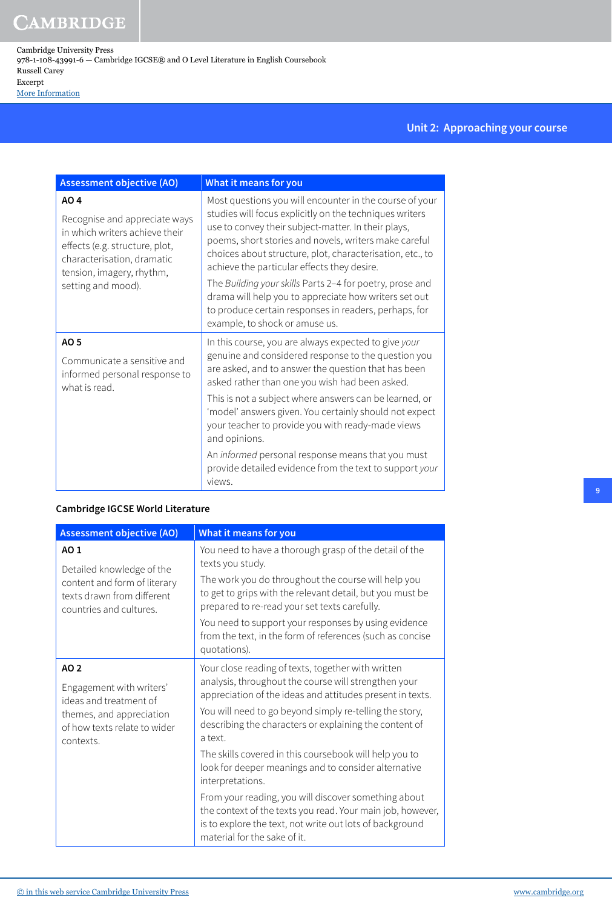## **Unit 2: Approaching your course**

| <b>Assessment objective (AO)</b>                                                                                                                                                           | What it means for you                                                                                                                                                                                                                                                                                                                                                                                                                                                                                                                                          |
|--------------------------------------------------------------------------------------------------------------------------------------------------------------------------------------------|----------------------------------------------------------------------------------------------------------------------------------------------------------------------------------------------------------------------------------------------------------------------------------------------------------------------------------------------------------------------------------------------------------------------------------------------------------------------------------------------------------------------------------------------------------------|
| AO 4<br>Recognise and appreciate ways<br>in which writers achieve their<br>effects (e.g. structure, plot,<br>characterisation, dramatic<br>tension, imagery, rhythm,<br>setting and mood). | Most questions you will encounter in the course of your<br>studies will focus explicitly on the techniques writers<br>use to convey their subject-matter. In their plays,<br>poems, short stories and novels, writers make careful<br>choices about structure, plot, characterisation, etc., to<br>achieve the particular effects they desire.<br>The Building your skills Parts 2-4 for poetry, prose and<br>drama will help you to appreciate how writers set out<br>to produce certain responses in readers, perhaps, for<br>example, to shock or amuse us. |
| AO 5<br>Communicate a sensitive and<br>informed personal response to<br>what is read.                                                                                                      | In this course, you are always expected to give your<br>genuine and considered response to the question you<br>are asked, and to answer the question that has been<br>asked rather than one you wish had been asked.<br>This is not a subject where answers can be learned, or<br>'model' answers given. You certainly should not expect<br>your teacher to provide you with ready-made views<br>and opinions.<br>An informed personal response means that you must<br>provide detailed evidence from the text to support your<br>views.                       |

#### **Cambridge IGCSE World Literature**

| <b>Assessment objective (AO)</b>                                                                                                    | <b>What it means for you</b>                                                                                                                                                                                                                                                                                                                                                                                                                                                                                                                                                                                                                                    |
|-------------------------------------------------------------------------------------------------------------------------------------|-----------------------------------------------------------------------------------------------------------------------------------------------------------------------------------------------------------------------------------------------------------------------------------------------------------------------------------------------------------------------------------------------------------------------------------------------------------------------------------------------------------------------------------------------------------------------------------------------------------------------------------------------------------------|
| AO 1<br>Detailed knowledge of the<br>content and form of literary<br>texts drawn from different<br>countries and cultures.          | You need to have a thorough grasp of the detail of the<br>texts you study.<br>The work you do throughout the course will help you<br>to get to grips with the relevant detail, but you must be<br>prepared to re-read your set texts carefully.<br>You need to support your responses by using evidence<br>from the text, in the form of references (such as concise<br>quotations).                                                                                                                                                                                                                                                                            |
| AO 2<br>Engagement with writers'<br>ideas and treatment of<br>themes, and appreciation<br>of how texts relate to wider<br>contexts. | Your close reading of texts, together with written<br>analysis, throughout the course will strengthen your<br>appreciation of the ideas and attitudes present in texts.<br>You will need to go beyond simply re-telling the story,<br>describing the characters or explaining the content of<br>a text.<br>The skills covered in this coursebook will help you to<br>look for deeper meanings and to consider alternative<br>interpretations.<br>From your reading, you will discover something about<br>the context of the texts you read. Your main job, however,<br>is to explore the text, not write out lots of background<br>material for the sake of it. |